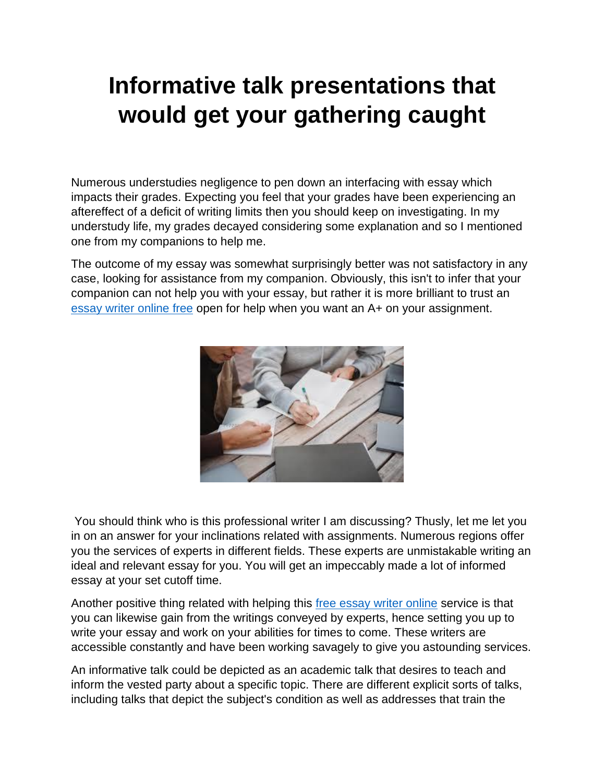## **Informative talk presentations that would get your gathering caught**

Numerous understudies negligence to pen down an interfacing with essay which impacts their grades. Expecting you feel that your grades have been experiencing an aftereffect of a deficit of writing limits then you should keep on investigating. In my understudy life, my grades decayed considering some explanation and so I mentioned one from my companions to help me.

The outcome of my essay was somewhat surprisingly better was not satisfactory in any case, looking for assistance from my companion. Obviously, this isn't to infer that your companion can not help you with your essay, but rather it is more brilliant to trust an [essay writer online free](https://youressaywriter.net/) open for help when you want an A+ on your assignment.



You should think who is this professional writer I am discussing? Thusly, let me let you in on an answer for your inclinations related with assignments. Numerous regions offer you the services of experts in different fields. These experts are unmistakable writing an ideal and relevant essay for you. You will get an impeccably made a lot of informed essay at your set cutoff time.

Another positive thing related with helping this [free essay writer online](https://youressaywriter.net/) service is that you can likewise gain from the writings conveyed by experts, hence setting you up to write your essay and work on your abilities for times to come. These writers are accessible constantly and have been working savagely to give you astounding services.

An informative talk could be depicted as an academic talk that desires to teach and inform the vested party about a specific topic. There are different explicit sorts of talks, including talks that depict the subject's condition as well as addresses that train the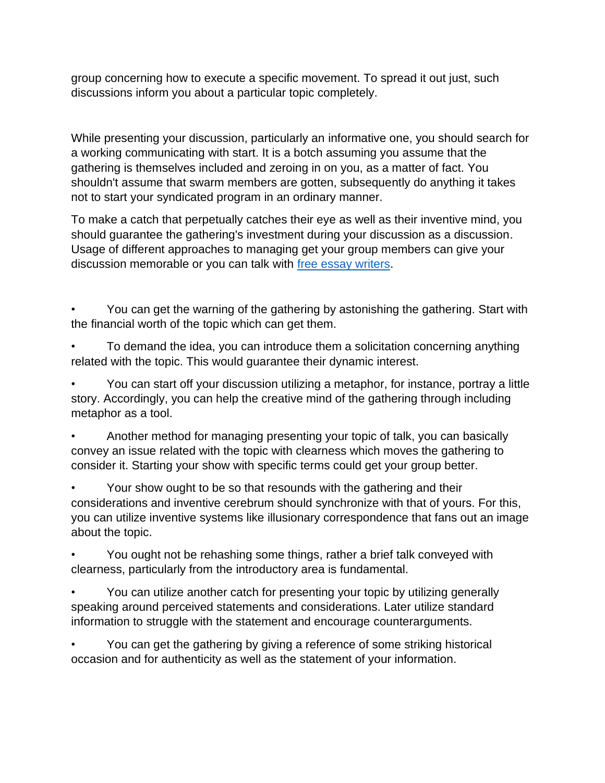group concerning how to execute a specific movement. To spread it out just, such discussions inform you about a particular topic completely.

While presenting your discussion, particularly an informative one, you should search for a working communicating with start. It is a botch assuming you assume that the gathering is themselves included and zeroing in on you, as a matter of fact. You shouldn't assume that swarm members are gotten, subsequently do anything it takes not to start your syndicated program in an ordinary manner.

To make a catch that perpetually catches their eye as well as their inventive mind, you should guarantee the gathering's investment during your discussion as a discussion. Usage of different approaches to managing get your group members can give your discussion memorable or you can talk with [free essay writers.](https://youressaywriter.net/)

• You can get the warning of the gathering by astonishing the gathering. Start with the financial worth of the topic which can get them.

• To demand the idea, you can introduce them a solicitation concerning anything related with the topic. This would guarantee their dynamic interest.

• You can start off your discussion utilizing a metaphor, for instance, portray a little story. Accordingly, you can help the creative mind of the gathering through including metaphor as a tool.

• Another method for managing presenting your topic of talk, you can basically convey an issue related with the topic with clearness which moves the gathering to consider it. Starting your show with specific terms could get your group better.

• Your show ought to be so that resounds with the gathering and their considerations and inventive cerebrum should synchronize with that of yours. For this, you can utilize inventive systems like illusionary correspondence that fans out an image about the topic.

• You ought not be rehashing some things, rather a brief talk conveyed with clearness, particularly from the introductory area is fundamental.

• You can utilize another catch for presenting your topic by utilizing generally speaking around perceived statements and considerations. Later utilize standard information to struggle with the statement and encourage counterarguments.

• You can get the gathering by giving a reference of some striking historical occasion and for authenticity as well as the statement of your information.